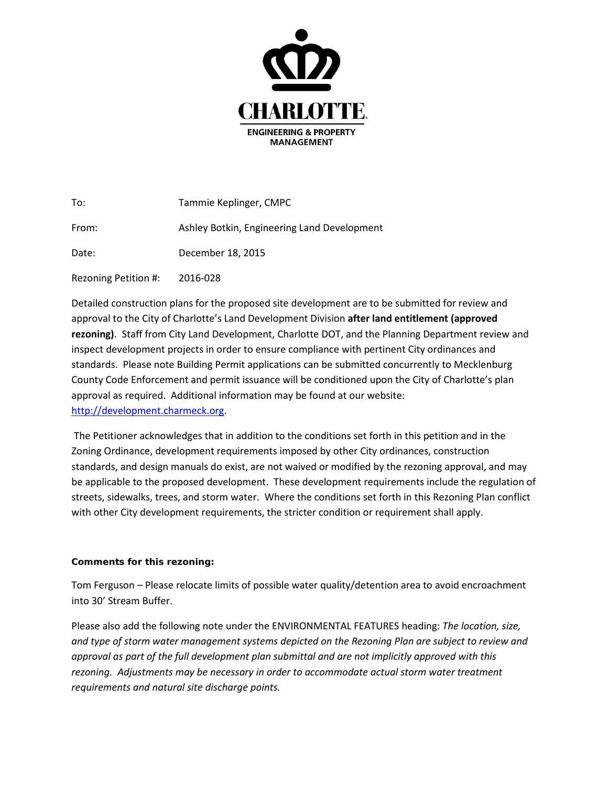

| To:                  | Tammie Keplinger, CMPC                      |
|----------------------|---------------------------------------------|
| From:                | Ashley Botkin, Engineering Land Development |
| Date:                | December 18, 2015                           |
| Rezoning Petition #: | 2016-028                                    |

Detailed construction plans for the proposed site development are to be submitted for review and approval to the City of Charlotte's Land Development Division **after land entitlement (approved rezoning)**. Staff from City Land Development, Charlotte DOT, and the Planning Department review and inspect development projects in order to ensure compliance with pertinent City ordinances and standards. Please note Building Permit applications can be submitted concurrently to Mecklenburg County Code Enforcement and permit issuance will be conditioned upon the City of Charlotte's plan approval as required. Additional information may be found at our website: [http://development.charmeck.org.](http://development.charmeck.org/)

The Petitioner acknowledges that in addition to the conditions set forth in this petition and in the Zoning Ordinance, development requirements imposed by other City ordinances, construction standards, and design manuals do exist, are not waived or modified by the rezoning approval, and may be applicable to the proposed development. These development requirements include the regulation of streets, sidewalks, trees, and storm water. Where the conditions set forth in this Rezoning Plan conflict with other City development requirements, the stricter condition or requirement shall apply.

## **Comments for this rezoning:**

Tom Ferguson – Please relocate limits of possible water quality/detention area to avoid encroachment into 30' Stream Buffer.

Please also add the following note under the ENVIRONMENTAL FEATURES heading: *The location, size, and type of storm water management systems depicted on the Rezoning Plan are subject to review and approval as part of the full development plan submittal and are not implicitly approved with this rezoning. Adjustments may be necessary in order to accommodate actual storm water treatment requirements and natural site discharge points.*